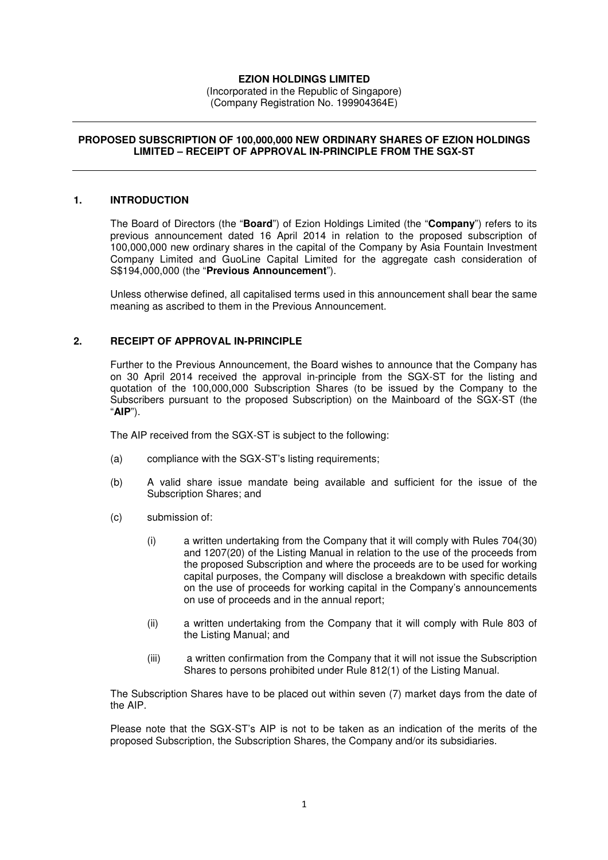## **EZION HOLDINGS LIMITED**

(Incorporated in the Republic of Singapore) (Company Registration No. 199904364E)

### **PROPOSED SUBSCRIPTION OF 100,000,000 NEW ORDINARY SHARES OF EZION HOLDINGS LIMITED – RECEIPT OF APPROVAL IN-PRINCIPLE FROM THE SGX-ST**

### **1. INTRODUCTION**

The Board of Directors (the "**Board**") of Ezion Holdings Limited (the "**Company**") refers to its previous announcement dated 16 April 2014 in relation to the proposed subscription of 100,000,000 new ordinary shares in the capital of the Company by Asia Fountain Investment Company Limited and GuoLine Capital Limited for the aggregate cash consideration of S\$194,000,000 (the "**Previous Announcement**").

Unless otherwise defined, all capitalised terms used in this announcement shall bear the same meaning as ascribed to them in the Previous Announcement.

### **2. RECEIPT OF APPROVAL IN-PRINCIPLE**

Further to the Previous Announcement, the Board wishes to announce that the Company has on 30 April 2014 received the approval in-principle from the SGX-ST for the listing and quotation of the 100,000,000 Subscription Shares (to be issued by the Company to the Subscribers pursuant to the proposed Subscription) on the Mainboard of the SGX-ST (the "**AIP**").

The AIP received from the SGX-ST is subject to the following:

- (a) compliance with the SGX-ST's listing requirements;
- (b) A valid share issue mandate being available and sufficient for the issue of the Subscription Shares; and
- (c) submission of:
	- (i) a written undertaking from the Company that it will comply with Rules 704(30) and 1207(20) of the Listing Manual in relation to the use of the proceeds from the proposed Subscription and where the proceeds are to be used for working capital purposes, the Company will disclose a breakdown with specific details on the use of proceeds for working capital in the Company's announcements on use of proceeds and in the annual report;
	- (ii) a written undertaking from the Company that it will comply with Rule 803 of the Listing Manual; and
	- (iii) a written confirmation from the Company that it will not issue the Subscription Shares to persons prohibited under Rule 812(1) of the Listing Manual.

The Subscription Shares have to be placed out within seven (7) market days from the date of the AIP.

Please note that the SGX-ST's AIP is not to be taken as an indication of the merits of the proposed Subscription, the Subscription Shares, the Company and/or its subsidiaries.